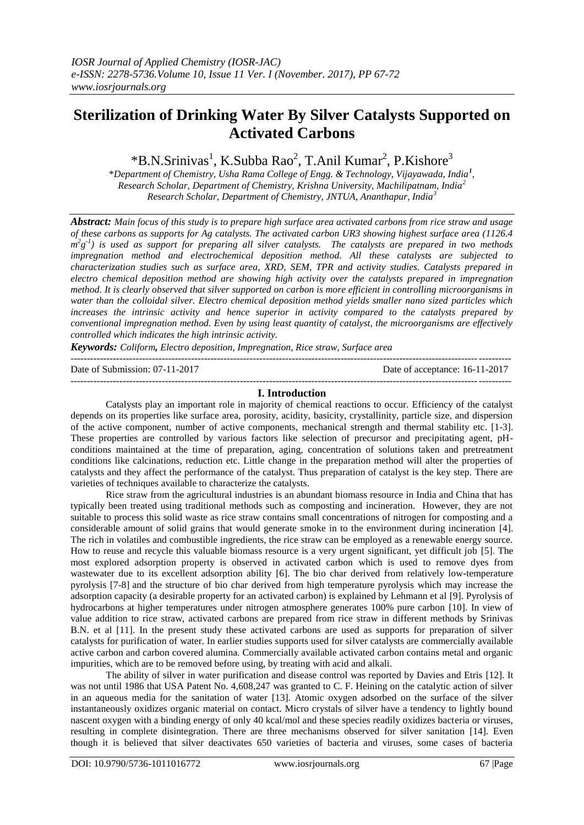# **Sterilization of Drinking Water By Silver Catalysts Supported on Activated Carbons**

\*B.N.Srinivas<sup>1</sup>, K.Subba Rao<sup>2</sup>, T.Anil Kumar<sup>2</sup>, P.Kishore<sup>3</sup>

\**Department of Chemistry, Usha Rama College of Engg. & Technology, Vijayawada, India<sup>1</sup> , Research Scholar, Department of Chemistry, Krishna University, Machilipatnam, India<sup>2</sup> Research Scholar, Department of Chemistry, JNTUA, Ananthapur, India<sup>3</sup>*

*Abstract: Main focus of this study is to prepare high surface area activated carbons from rice straw and usage of these carbons as supports for Ag catalysts. The activated carbon UR3 showing highest surface area (1126.4*   $m^2g^{-1}$ ) is used as support for preparing all silver catalysts. The catalysts are prepared in two methods *impregnation method and electrochemical deposition method. All these catalysts are subjected to characterization studies such as surface area, XRD, SEM, TPR and activity studies. Catalysts prepared in electro chemical deposition method are showing high activity over the catalysts prepared in impregnation method. It is clearly observed that silver supported on carbon is more efficient in controlling microorganisms in water than the colloidal silver. Electro chemical deposition method yields smaller nano sized particles which increases the intrinsic activity and hence superior in activity compared to the catalysts prepared by conventional impregnation method. Even by using least quantity of catalyst, the microorganisms are effectively controlled which indicates the high intrinsic activity.* 

*Keywords: Coliform, Electro deposition, Impregnation, Rice straw, Surface area*  ---------------------------------------------------------------------------------------------------------------------------------------

Date of Submission: 07-11-2017 Date of acceptance: 16-11-2017 ---------------------------------------------------------------------------------------------------------------------------------------

#### **I. Introduction**

Catalysts play an important role in majority of chemical reactions to occur. Efficiency of the catalyst depends on its properties like surface area, porosity, acidity, basicity, crystallinity, particle size, and dispersion of the active component, number of active components, mechanical strength and thermal stability etc. [1-3]. These properties are controlled by various factors like selection of precursor and precipitating agent, pHconditions maintained at the time of preparation, aging, concentration of solutions taken and pretreatment conditions like calcinations, reduction etc. Little change in the preparation method will alter the properties of catalysts and they affect the performance of the catalyst. Thus preparation of catalyst is the key step. There are varieties of techniques available to characterize the catalysts.

Rice straw from the agricultural industries is an abundant biomass resource in India and China that has typically been treated using traditional methods such as composting and incineration. However, they are not suitable to process this solid waste as rice straw contains small concentrations of nitrogen for composting and a considerable amount of solid grains that would generate smoke in to the environment during incineration [4]. The rich in volatiles and combustible ingredients, the rice straw can be employed as a renewable energy source. How to reuse and recycle this valuable biomass resource is a very urgent significant, yet difficult job [5]. The most explored adsorption property is observed in activated carbon which is used to remove dyes from wastewater due to its excellent adsorption ability [6]. The bio char derived from relatively low-temperature pyrolysis [7-8] and the structure of bio char derived from high temperature pyrolysis which may increase the adsorption capacity (a desirable property for an activated carbon) is explained by Lehmann et al [9]. Pyrolysis of hydrocarbons at higher temperatures under nitrogen atmosphere generates 100% pure carbon [10]. In view of value addition to rice straw, activated carbons are prepared from rice straw in different methods by Srinivas B.N. et al [11]. In the present study these activated carbons are used as supports for preparation of silver catalysts for purification of water. In earlier studies supports used for silver catalysts are commercially available active carbon and carbon covered alumina. Commercially available activated carbon contains metal and organic impurities, which are to be removed before using, by treating with acid and alkali.

The ability of silver in water purification and disease control was reported by Davies and Etris [12]. It was not until 1986 that USA Patent No. 4,608,247 was granted to C. F. Heining on the catalytic action of silver in an aqueous media for the sanitation of water [13]. Atomic oxygen adsorbed on the surface of the silver instantaneously oxidizes organic material on contact. Micro crystals of silver have a tendency to lightly bound nascent oxygen with a binding energy of only 40 kcal/mol and these species readily oxidizes bacteria or viruses, resulting in complete disintegration. There are three mechanisms observed for silver sanitation [14]. Even though it is believed that silver deactivates 650 varieties of bacteria and viruses, some cases of bacteria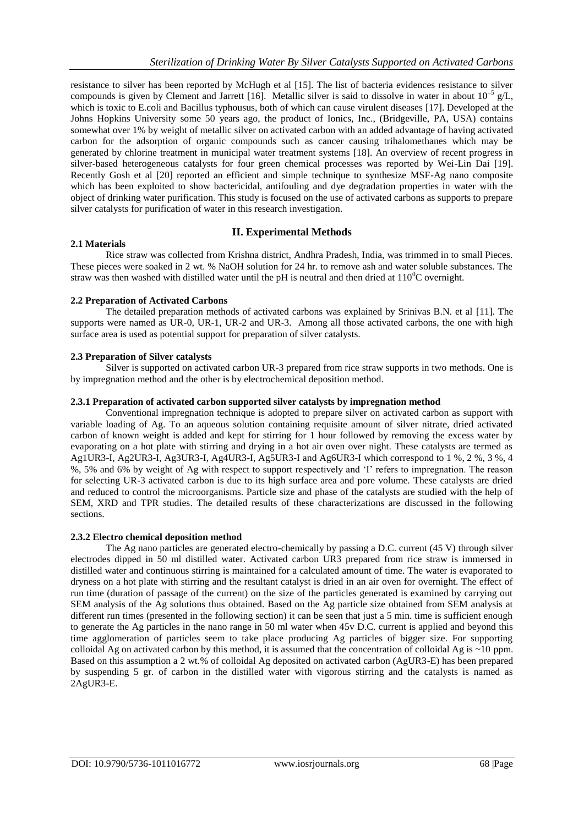resistance to silver has been reported by McHugh et al [15]. The list of bacteria evidences resistance to silver compounds is given by Clement and Jarrett [16]. Metallic silver is said to dissolve in water in about  $10^{-5}$  g/L, which is toxic to E.coli and Bacillus typhousus, both of which can cause virulent diseases [17]. Developed at the Johns Hopkins University some 50 years ago, the product of Ionics, Inc., (Bridgeville, PA, USA) contains somewhat over 1% by weight of metallic silver on activated carbon with an added advantage of having activated carbon for the adsorption of organic compounds such as cancer causing trihalomethanes which may be generated by chlorine treatment in municipal water treatment systems [18]. An overview of recent progress in silver-based heterogeneous catalysts for four green chemical processes was reported by Wei-Lin Dai [19]. Recently Gosh et al [20] reported an efficient and simple technique to synthesize MSF-Ag nano composite which has been exploited to show bactericidal, antifouling and dye degradation properties in water with the object of drinking water purification. This study is focused on the use of activated carbons as supports to prepare silver catalysts for purification of water in this research investigation.

# **II. Experimental Methods**

# **2.1 Materials**

Rice straw was collected from Krishna district, Andhra Pradesh, India, was trimmed in to small Pieces. These pieces were soaked in 2 wt. % NaOH solution for 24 hr. to remove ash and water soluble substances. The straw was then washed with distilled water until the pH is neutral and then dried at  $110^{0}$ C overnight.

# **2.2 Preparation of Activated Carbons**

The detailed preparation methods of activated carbons was explained by Srinivas B.N. et al [11]. The supports were named as UR-0, UR-1, UR-2 and UR-3. Among all those activated carbons, the one with high surface area is used as potential support for preparation of silver catalysts.

# **2.3 Preparation of Silver catalysts**

Silver is supported on activated carbon UR-3 prepared from rice straw supports in two methods. One is by impregnation method and the other is by electrochemical deposition method.

# **2.3.1 Preparation of activated carbon supported silver catalysts by impregnation method**

Conventional impregnation technique is adopted to prepare silver on activated carbon as support with variable loading of Ag. To an aqueous solution containing requisite amount of silver nitrate, dried activated carbon of known weight is added and kept for stirring for 1 hour followed by removing the excess water by evaporating on a hot plate with stirring and drying in a hot air oven over night. These catalysts are termed as Ag1UR3-I, Ag2UR3-I, Ag3UR3-I, Ag4UR3-I, Ag5UR3-I and Ag6UR3-I which correspond to 1 %, 2 %, 3 %, 4 %, 5% and 6% by weight of Ag with respect to support respectively and 'I' refers to impregnation. The reason for selecting UR-3 activated carbon is due to its high surface area and pore volume. These catalysts are dried and reduced to control the microorganisms. Particle size and phase of the catalysts are studied with the help of SEM, XRD and TPR studies. The detailed results of these characterizations are discussed in the following sections.

#### **2.3.2 Electro chemical deposition method**

The Ag nano particles are generated electro-chemically by passing a D.C. current (45 V) through silver electrodes dipped in 50 ml distilled water. Activated carbon UR3 prepared from rice straw is immersed in distilled water and continuous stirring is maintained for a calculated amount of time. The water is evaporated to dryness on a hot plate with stirring and the resultant catalyst is dried in an air oven for overnight. The effect of run time (duration of passage of the current) on the size of the particles generated is examined by carrying out SEM analysis of the Ag solutions thus obtained. Based on the Ag particle size obtained from SEM analysis at different run times (presented in the following section) it can be seen that just a 5 min. time is sufficient enough to generate the Ag particles in the nano range in 50 ml water when 45v D.C. current is applied and beyond this time agglomeration of particles seem to take place producing Ag particles of bigger size. For supporting colloidal Ag on activated carbon by this method, it is assumed that the concentration of colloidal Ag is  $\sim$ 10 ppm. Based on this assumption a 2 wt.% of colloidal Ag deposited on activated carbon (AgUR3-E) has been prepared by suspending 5 gr. of carbon in the distilled water with vigorous stirring and the catalysts is named as 2AgUR3-E.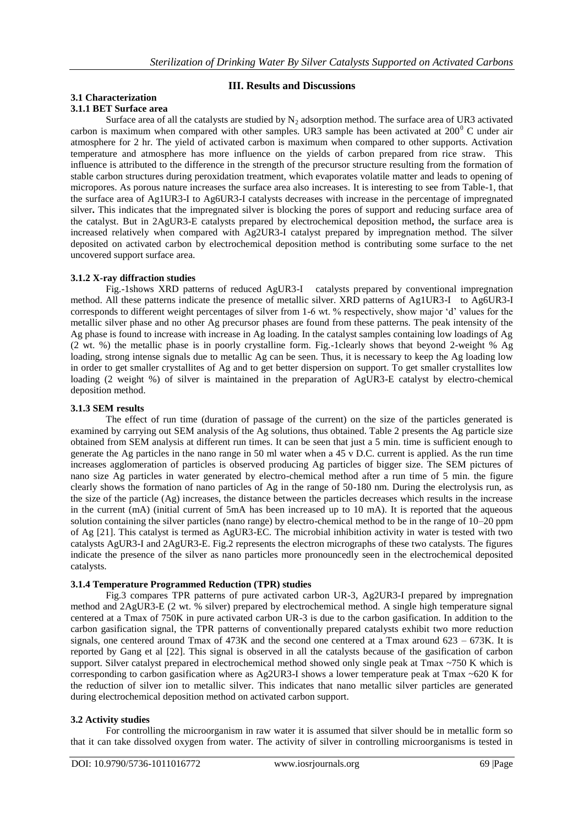# **III. Results and Discussions**

# **3.1 Characterization 3.1.1 BET Surface area**

Surface area of all the catalysts are studied by  $N_2$  adsorption method. The surface area of UR3 activated carbon is maximum when compared with other samples. UR3 sample has been activated at  $200^{\circ}$  C under air atmosphere for 2 hr. The yield of activated carbon is maximum when compared to other supports. Activation temperature and atmosphere has more influence on the yields of carbon prepared from rice straw. This influence is attributed to the difference in the strength of the precursor structure resulting from the formation of stable carbon structures during peroxidation treatment, which evaporates volatile matter and leads to opening of micropores. As porous nature increases the surface area also increases. It is interesting to see from Table-1, that the surface area of Ag1UR3-I to Ag6UR3-I catalysts decreases with increase in the percentage of impregnated silver. This indicates that the impregnated silver is blocking the pores of support and reducing surface area of the catalyst. But in 2AgUR3-E catalysts prepared by electrochemical deposition method**,** the surface area is increased relatively when compared with Ag2UR3-I catalyst prepared by impregnation method. The silver deposited on activated carbon by electrochemical deposition method is contributing some surface to the net uncovered support surface area.

# **3.1.2 X-ray diffraction studies**

Fig.-1shows XRD patterns of reduced AgUR3-I catalysts prepared by conventional impregnation method. All these patterns indicate the presence of metallic silver. XRD patterns of Ag1UR3-I to Ag6UR3-I corresponds to different weight percentages of silver from 1-6 wt. % respectively, show major 'd' values for the metallic silver phase and no other Ag precursor phases are found from these patterns. The peak intensity of the Ag phase is found to increase with increase in Ag loading. In the catalyst samples containing low loadings of Ag (2 wt. %) the metallic phase is in poorly crystalline form. Fig.-1clearly shows that beyond 2-weight % Ag loading, strong intense signals due to metallic Ag can be seen. Thus, it is necessary to keep the Ag loading low in order to get smaller crystallites of Ag and to get better dispersion on support. To get smaller crystallites low loading (2 weight %) of silver is maintained in the preparation of AgUR3-E catalyst by electro-chemical deposition method.

# **3.1.3 SEM results**

The effect of run time (duration of passage of the current) on the size of the particles generated is examined by carrying out SEM analysis of the Ag solutions, thus obtained. Table 2 presents the Ag particle size obtained from SEM analysis at different run times. It can be seen that just a 5 min. time is sufficient enough to generate the Ag particles in the nano range in 50 ml water when a 45 v D.C. current is applied. As the run time increases agglomeration of particles is observed producing Ag particles of bigger size. The SEM pictures of nano size Ag particles in water generated by electro-chemical method after a run time of 5 min. the figure clearly shows the formation of nano particles of Ag in the range of 50-180 nm. During the electrolysis run, as the size of the particle (Ag) increases, the distance between the particles decreases which results in the increase in the current (mA) (initial current of 5mA has been increased up to 10 mA). It is reported that the aqueous solution containing the silver particles (nano range) by electro-chemical method to be in the range of 10–20 ppm of Ag [21]. This catalyst is termed as AgUR3-EC. The microbial inhibition activity in water is tested with two catalysts AgUR3-I and 2AgUR3-E. Fig.2 represents the electron micrographs of these two catalysts. The figures indicate the presence of the silver as nano particles more pronouncedly seen in the electrochemical deposited catalysts.

# **3.1.4 Temperature Programmed Reduction (TPR) studies**

Fig.3 compares TPR patterns of pure activated carbon UR-3, Ag2UR3-I prepared by impregnation method and 2AgUR3-E (2 wt. % silver) prepared by electrochemical method. A single high temperature signal centered at a Tmax of 750K in pure activated carbon UR-3 is due to the carbon gasification. In addition to the carbon gasification signal, the TPR patterns of conventionally prepared catalysts exhibit two more reduction signals, one centered around Tmax of 473K and the second one centered at a Tmax around 623 – 673K. It is reported by Gang et al [22]. This signal is observed in all the catalysts because of the gasification of carbon support. Silver catalyst prepared in electrochemical method showed only single peak at Tmax ~750 K which is corresponding to carbon gasification where as Ag2UR3-I shows a lower temperature peak at Tmax ~620 K for the reduction of silver ion to metallic silver. This indicates that nano metallic silver particles are generated during electrochemical deposition method on activated carbon support.

# **3.2 Activity studies**

For controlling the microorganism in raw water it is assumed that silver should be in metallic form so that it can take dissolved oxygen from water. The activity of silver in controlling microorganisms is tested in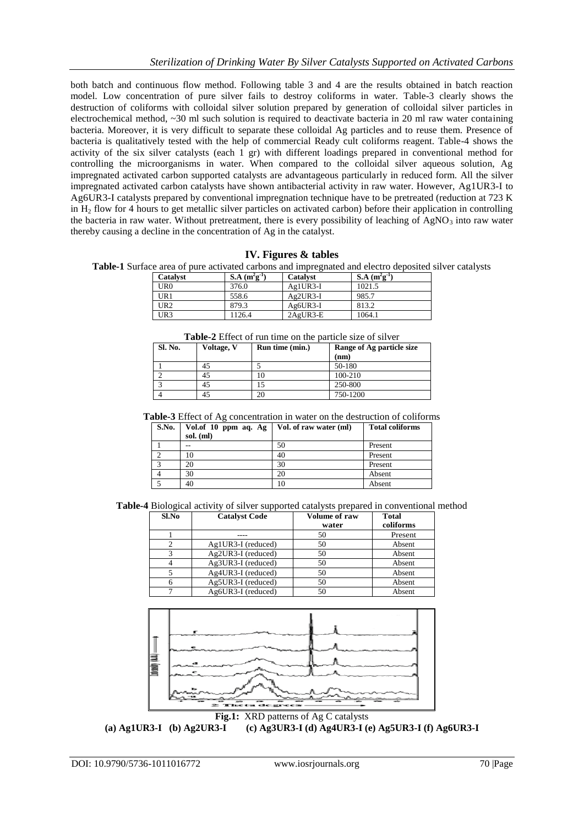both batch and continuous flow method. Following table 3 and 4 are the results obtained in batch reaction model. Low concentration of pure silver fails to destroy coliforms in water. Table-3 clearly shows the destruction of coliforms with colloidal silver solution prepared by generation of colloidal silver particles in electrochemical method, ~30 ml such solution is required to deactivate bacteria in 20 ml raw water containing bacteria. Moreover, it is very difficult to separate these colloidal Ag particles and to reuse them. Presence of bacteria is qualitatively tested with the help of commercial Ready cult coliforms reagent. Table-4 shows the activity of the six silver catalysts (each 1 gr) with different loadings prepared in conventional method for controlling the microorganisms in water. When compared to the colloidal silver aqueous solution, Ag impregnated activated carbon supported catalysts are advantageous particularly in reduced form. All the silver impregnated activated carbon catalysts have shown antibacterial activity in raw water. However, Ag1UR3-I to Ag6UR3-I catalysts prepared by conventional impregnation technique have to be pretreated (reduction at 723 K in  $H<sub>2</sub>$  flow for 4 hours to get metallic silver particles on activated carbon) before their application in controlling the bacteria in raw water. Without pretreatment, there is every possibility of leaching of  $AgNO<sub>3</sub>$  into raw water thereby causing a decline in the concentration of Ag in the catalyst.

# **IV. Figures & tables**

**Table-1** Surface area of pure activated carbons and impregnated and electro deposited silver catalysts

| Catalyst        | $S.A (m^{2}g^{-1})$ | <b>Catalyst</b> | S.A $(m^2g^{-1})$ |  |
|-----------------|---------------------|-----------------|-------------------|--|
| UR0             | 376.0               | $Ag1UR3-I$      | 1021.5            |  |
| UR1             | 558.6               | $Ag2UR3-I$      | 985.7             |  |
| UR <sub>2</sub> | 879.3               | $Ag6UR3-I$      | 813.2             |  |
| UR3             | 1126.4              | $2AgUR3-E$      | 1064.1            |  |

**Table-2** Effect of run time on the particle size of silver

| <b>Sl. No.</b> | Voltage, V | Run time (min.) | Range of Ag particle size<br>(nm) |
|----------------|------------|-----------------|-----------------------------------|
|                | 45         |                 | 50-180                            |
|                | 45         |                 | 100-210                           |
|                | 45         |                 | 250-800                           |
|                | 45         |                 | 750-1200                          |

**Table-3** Effect of Ag concentration in water on the destruction of coliforms

| S.No. | Vol.of 10 ppm aq. Ag | Vol. of raw water (ml) | <b>Total coliforms</b> |
|-------|----------------------|------------------------|------------------------|
|       | sol. (ml)            |                        |                        |
|       |                      | 50                     | Present                |
|       | 10                   | 40                     | Present                |
|       | 20                   | 30                     | Present                |
|       | 30                   | 20                     | Absent                 |
|       | 40                   | 10                     | Absent                 |

**Table-4** Biological activity of silver supported catalysts prepared in conventional method

| Sl.No | <b>Catalyst Code</b> | <b>Volume of raw</b><br>water | <b>Total</b><br>coliforms |
|-------|----------------------|-------------------------------|---------------------------|
|       |                      | 50                            | Present                   |
|       | $Ag1UR3-I$ (reduced) | 50                            | Absent                    |
|       | Ag2UR3-I (reduced)   | 50                            | Absent                    |
|       | Ag3UR3-I (reduced)   | 50                            | Absent                    |
|       | Ag4UR3-I (reduced)   | 50                            | Absent                    |
|       | Ag5UR3-I (reduced)   | 50                            | Absent                    |
|       | Ag6UR3-I (reduced)   | 50                            | Absent                    |



**(a) Ag1UR3-I (b) Ag2UR3-I (c) Ag3UR3-I (d) Ag4UR3-I (e) Ag5UR3-I (f) Ag6UR3-I**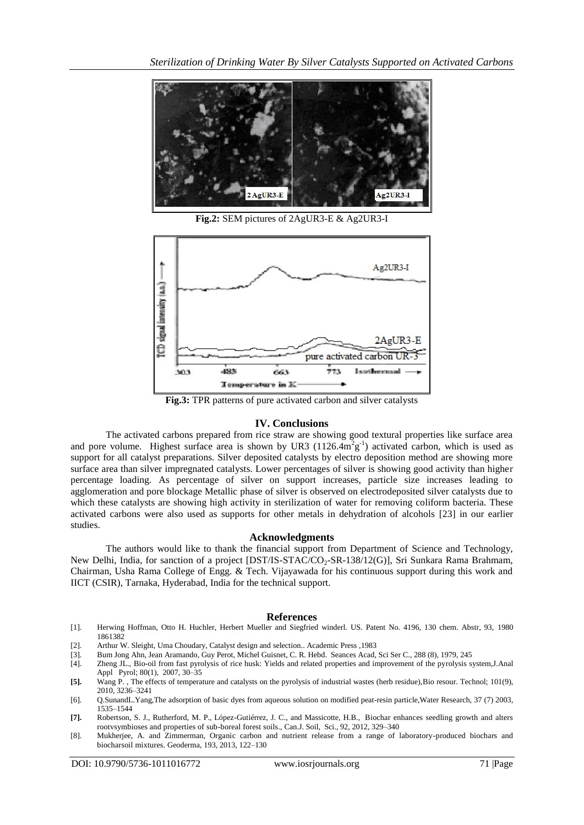

**Fig.2:** SEM pictures of 2AgUR3-E & Ag2UR3-I



**Fig.3:** TPR patterns of pure activated carbon and silver catalysts

# **IV. Conclusions**

The activated carbons prepared from rice straw are showing good textural properties like surface area and pore volume. Highest surface area is shown by UR3  $(1126.4 \text{m}^2 \text{g}^{-1})$  activated carbon, which is used as support for all catalyst preparations. Silver deposited catalysts by electro deposition method are showing more surface area than silver impregnated catalysts. Lower percentages of silver is showing good activity than higher percentage loading. As percentage of silver on support increases, particle size increases leading to agglomeration and pore blockage Metallic phase of silver is observed on electrodeposited silver catalysts due to which these catalysts are showing high activity in sterilization of water for removing coliform bacteria. These activated carbons were also used as supports for other metals in dehydration of alcohols [23] in our earlier studies.

#### **Acknowledgments**

The authors would like to thank the financial support from Department of Science and Technology, New Delhi, India, for sanction of a project [DST/IS-STAC/CO<sub>2</sub>-SR-138/12(G)], Sri Sunkara Rama Brahmam, Chairman, Usha Rama College of Engg. & Tech. Vijayawada for his continuous support during this work and IICT (CSIR), Tarnaka, Hyderabad, India for the technical support.

#### **References**

- [1]. Herwing Hoffman, Otto H. Huchler, Herbert Mueller and Siegfried winderl. US. Patent No. 4196, 130 chem. Abstr, 93, 1980 1861382
- [2]. Arthur W. Sleight, Uma Choudary, Catalyst design and selection.. Academic Press ,1983
- [3]. Bum Jong Ahn, Jean Aramando, Guy Perot, Michel Guisnet, C. R. Hebd. Seances Acad, Sci Ser C., 288 (8), 1979, 245 [4]. Zheng JL., Bio-oil from fast pyrolysis of rice husk: Yields and related properties and improvement
- [4]. Zheng JL., Bio-oil from fast pyrolysis of rice husk: Yields and related properties and improvement of the pyrolysis system,J.Anal Appl Pyrol; 80(1), 2007, 30–35
- **[5].** Wang P. , The effects of temperature and catalysts on the pyrolysis of industrial wastes (herb residue),Bio resour. Technol; 101(9), 2010, 3236–3241
- [6]. Q.SunandL.Yang,The adsorption of basic dyes from aqueous solution on modified peat-resin particle,Water Research, 37 (7) 2003, 1535–1544
- **[7].** Robertson, S. J., Rutherford, M. P., López-Gutiérrez, J. C., and Massicotte, H.B., Biochar enhances seedling growth and alters rootvsymbioses and properties of sub-boreal forest soils., Can.J. Soil, Sci., 92, 2012, 329–340
- [8]. Mukherjee, A. and Zimmerman, Organic carbon and nutrient release from a range of laboratory-produced biochars and biocharsoil mixtures. Geoderma, 193, 2013, 122–130